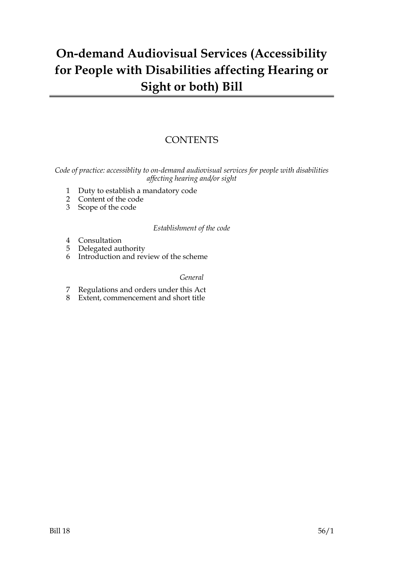### **On-demand Audiovisual Services (Accessibility for People with Disabilities affecting Hearing or Sight or both) Bill**

### **CONTENTS**

*Code of practice: accessiblity to on-demand audiovisual services for people with disabilities affecting hearing and/or sight*

- 1 Duty to establish a mandatory code
- 2 Content of the code
- 3 Scope of the code

#### *Establishment of the code*

- 4 Consultation
- 5 Delegated authority
- 6 Introduction and review of the scheme

#### *General*

- 7 Regulations and orders under this Act
- 8 Extent, commencement and short title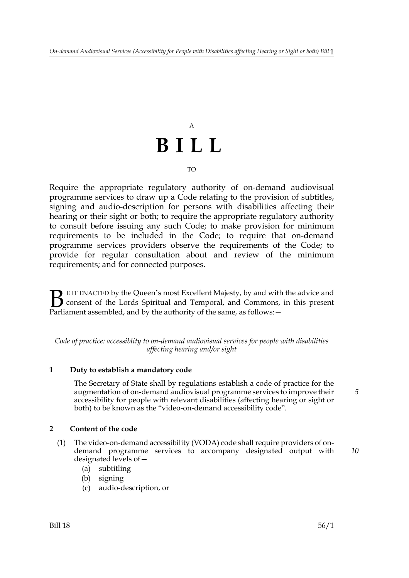# A **BILL**

#### TO

Require the appropriate regulatory authority of on-demand audiovisual programme services to draw up a Code relating to the provision of subtitles, signing and audio-description for persons with disabilities affecting their hearing or their sight or both; to require the appropriate regulatory authority to consult before issuing any such Code; to make provision for minimum requirements to be included in the Code; to require that on-demand programme services providers observe the requirements of the Code; to provide for regular consultation about and review of the minimum requirements; and for connected purposes.

E IT ENACTED by the Queen's most Excellent Majesty, by and with the advice and consent of the Lords Spiritual and Temporal, and Commons, in this present Parliament assembled, and by the authority of the same, as follows:  $B<sub>parti</sub>$ 

*Code of practice: accessiblity to on-demand audiovisual services for people with disabilities affecting hearing and/or sight*

#### **1 Duty to establish a mandatory code**

The Secretary of State shall by regulations establish a code of practice for the augmentation of on-demand audiovisual programme services to improve their accessibility for people with relevant disabilities (affecting hearing or sight or both) to be known as the "video-on-demand accessibility code".

#### **2 Content of the code**

- (1) The video-on-demand accessibility (VODA) code shall require providers of ondemand programme services to accompany designated output with designated levels of— *10*
	- (a) subtitling
	- (b) signing
	- (c) audio-description, or

*5*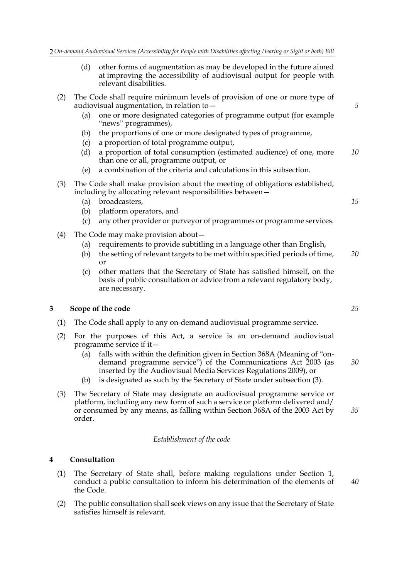- (d) other forms of augmentation as may be developed in the future aimed at improving the accessibility of audiovisual output for people with relevant disabilities.
- (2) The Code shall require minimum levels of provision of one or more type of audiovisual augmentation, in relation to—
	- (a) one or more designated categories of programme output (for example "news" programmes),
	- (b) the proportions of one or more designated types of programme,
	- (c) a proportion of total programme output,
	- (d) a proportion of total consumption (estimated audience) of one, more than one or all, programme output, or *10*
	- (e) a combination of the criteria and calculations in this subsection.
- (3) The Code shall make provision about the meeting of obligations established, including by allocating relevant responsibilities between—
	- (a) broadcasters,
	- (b) platform operators, and
	- (c) any other provider or purveyor of programmes or programme services.
- (4) The Code may make provision about—
	- (a) requirements to provide subtitling in a language other than English,
	- (b) the setting of relevant targets to be met within specified periods of time, or *20*
	- (c) other matters that the Secretary of State has satisfied himself, on the basis of public consultation or advice from a relevant regulatory body, are necessary.

#### **3 Scope of the code**

- (1) The Code shall apply to any on-demand audiovisual programme service.
- (2) For the purposes of this Act, a service is an on-demand audiovisual programme service if it—
	- (a) falls with within the definition given in Section 368A (Meaning of "ondemand programme service") of the Communications Act 2003 (as inserted by the Audiovisual Media Services Regulations 2009), or *30*
	- (b) is designated as such by the Secretary of State under subsection (3).
- (3) The Secretary of State may designate an audiovisual programme service or platform, including any new form of such a service or platform delivered and/ or consumed by any means, as falling within Section 368A of the 2003 Act by order. *35*

#### *Establishment of the code*

#### **4 Consultation**

- (1) The Secretary of State shall, before making regulations under Section 1, conduct a public consultation to inform his determination of the elements of the Code.
- (2) The public consultation shall seek views on any issue that the Secretary of State satisfies himself is relevant.

*25*

*5*

*15*

*40*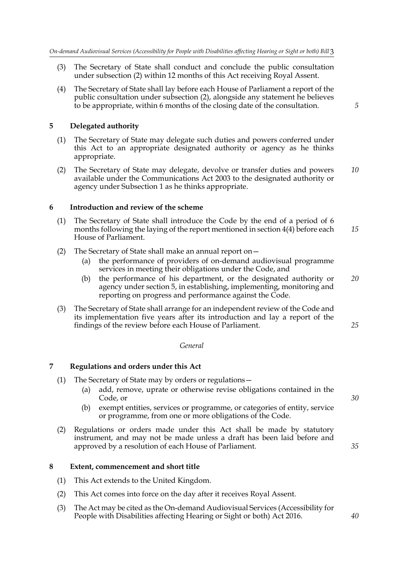- (3) The Secretary of State shall conduct and conclude the public consultation under subsection (2) within 12 months of this Act receiving Royal Assent.
- (4) The Secretary of State shall lay before each House of Parliament a report of the public consultation under subsection (2), alongside any statement he believes to be appropriate, within 6 months of the closing date of the consultation.

*5*

#### **5 Delegated authority**

- (1) The Secretary of State may delegate such duties and powers conferred under this Act to an appropriate designated authority or agency as he thinks appropriate.
- (2) The Secretary of State may delegate, devolve or transfer duties and powers available under the Communications Act 2003 to the designated authority or agency under Subsection 1 as he thinks appropriate. *10*

#### **6 Introduction and review of the scheme**

- (1) The Secretary of State shall introduce the Code by the end of a period of 6 months following the laying of the report mentioned in section 4(4) before each House of Parliament. *15*
- (2) The Secretary of State shall make an annual report on—
	- (a) the performance of providers of on-demand audiovisual programme services in meeting their obligations under the Code, and
	- (b) the performance of his department, or the designated authority or agency under section 5, in establishing, implementing, monitoring and reporting on progress and performance against the Code. *20*
- (3) The Secretary of State shall arrange for an independent review of the Code and its implementation five years after its introduction and lay a report of the findings of the review before each House of Parliament.

#### *General*

#### **7 Regulations and orders under this Act**

- (1) The Secretary of State may by orders or regulations—
	- (a) add, remove, uprate or otherwise revise obligations contained in the Code, or
	- (b) exempt entities, services or programme, or categories of entity, service or programme, from one or more obligations of the Code.
- (2) Regulations or orders made under this Act shall be made by statutory instrument, and may not be made unless a draft has been laid before and approved by a resolution of each House of Parliament.

#### **8 Extent, commencement and short title**

- (1) This Act extends to the United Kingdom.
- (2) This Act comes into force on the day after it receives Royal Assent.
- (3) The Act may be cited as the On-demand Audiovisual Services (Accessibility for People with Disabilities affecting Hearing or Sight or both) Act 2016.

*30*

*25*

*35*

#### *40*